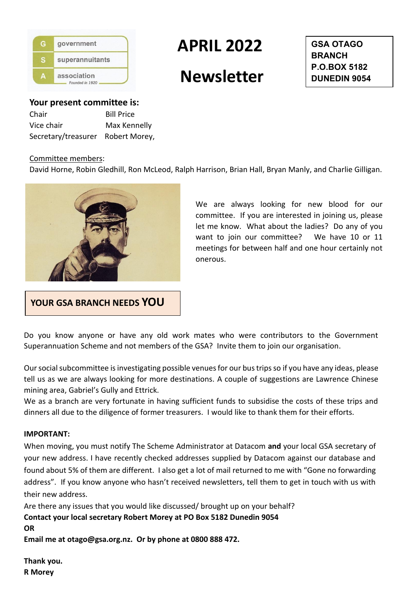

# **APRIL 2022**

# **Newsletter**

**GSA OTAGO BRANCH P.O.BOX 5182 DUNEDIN 9054**

**Your present committee is:**  Chair Bill Price Vice chair Max Kennelly

Secretary/treasurer Robert Morey,

### Committee members:

David Horne, Robin Gledhill, Ron McLeod, Ralph Harrison, Brian Hall, Bryan Manly, and Charlie Gilligan.



We are always looking for new blood for our committee. If you are interested in joining us, please let me know. What about the ladies? Do any of you want to join our committee? We have 10 or 11 meetings for between half and one hour certainly not onerous.

**YOUR GSA BRANCH NEEDS YOU**

Do you know anyone or have any old work mates who were contributors to the Government Superannuation Scheme and not members of the GSA? Invite them to join our organisation.

Our social subcommittee is investigating possible venues for our bus trips so if you have any ideas, please tell us as we are always looking for more destinations. A couple of suggestions are Lawrence Chinese mining area, Gabriel's Gully and Ettrick.

We as a branch are very fortunate in having sufficient funds to subsidise the costs of these trips and dinners all due to the diligence of former treasurers. I would like to thank them for their efforts.

#### **IMPORTANT:**

When moving, you must notify The Scheme Administrator at Datacom **and** your local GSA secretary of your new address. I have recently checked addresses supplied by Datacom against our database and found about 5% of them are different. I also get a lot of mail returned to me with "Gone no forwarding address". If you know anyone who hasn't received newsletters, tell them to get in touch with us with their new address.

Are there any issues that you would like discussed/ brought up on your behalf? **Contact your local secretary Robert Morey at PO Box 5182 Dunedin 9054 OR** 

**Email me at otago@gsa.org.nz. Or by phone at 0800 888 472.** 

**Thank you. R Morey**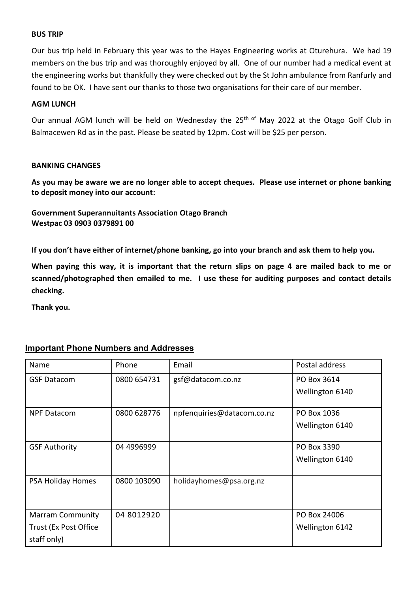### **BUS TRIP**

Our bus trip held in February this year was to the Hayes Engineering works at Oturehura. We had 19 members on the bus trip and was thoroughly enjoyed by all. One of our number had a medical event at the engineering works but thankfully they were checked out by the St John ambulance from Ranfurly and found to be OK. I have sent our thanks to those two organisations for their care of our member.

### **AGM LUNCH**

Our annual AGM lunch will be held on Wednesday the 25<sup>th of</sup> May 2022 at the Otago Golf Club in Balmacewen Rd as in the past. Please be seated by 12pm. Cost will be \$25 per person.

#### **BANKING CHANGES**

**As you may be aware we are no longer able to accept cheques. Please use internet or phone banking to deposit money into our account:**

**Government Superannuitants Association Otago Branch Westpac 03 0903 0379891 00**

**If you don't have either of internet/phone banking, go into your branch and ask them to help you.**

**When paying this way, it is important that the return slips on page 4 are mailed back to me or scanned/photographed then emailed to me. I use these for auditing purposes and contact details checking.**

**Thank you.**

## **Important Phone Numbers and Addresses**

| Name                    | Phone       | Email                      | Postal address  |
|-------------------------|-------------|----------------------------|-----------------|
| <b>GSF Datacom</b>      | 0800 654731 | gsf@datacom.co.nz          | PO Box 3614     |
|                         |             |                            | Wellington 6140 |
| <b>NPF Datacom</b>      | 0800 628776 | npfenquiries@datacom.co.nz | PO Box 1036     |
|                         |             |                            | Wellington 6140 |
|                         |             |                            |                 |
| <b>GSF Authority</b>    | 04 4996999  |                            | PO Box 3390     |
|                         |             |                            | Wellington 6140 |
|                         |             |                            |                 |
| PSA Holiday Homes       | 0800 103090 | holidayhomes@psa.org.nz    |                 |
|                         |             |                            |                 |
| <b>Marram Community</b> | 04 8012920  |                            | PO Box 24006    |
| Trust (Ex Post Office   |             |                            | Wellington 6142 |
| staff only)             |             |                            |                 |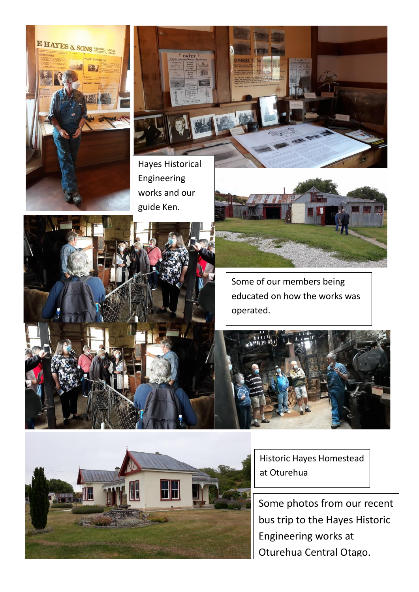

Hayes Historical Engineering works and our guide Ken.

> Some of our members being educated on how the works was operated.

> > Historic Hayes Homestead at Oturehua

Some photos from our recent bus trip to the Hayes Historic Engineering works at Oturehua Central Otago.